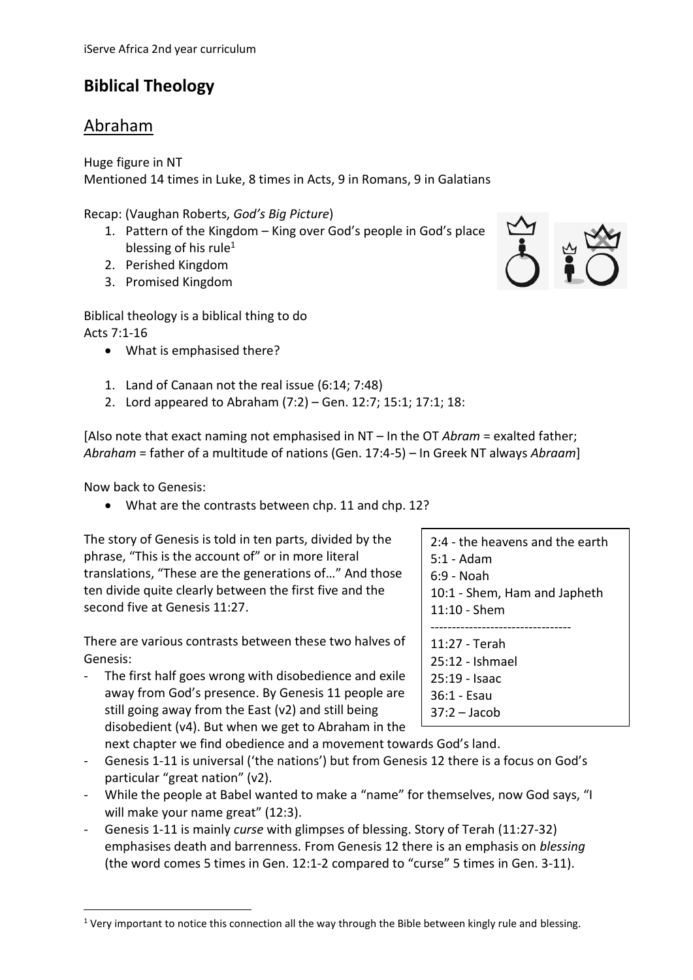# **Biblical Theology**

## Abraham

Huge figure in NT

Mentioned 14 times in Luke, 8 times in Acts, 9 in Romans, 9 in Galatians

Recap: (Vaughan Roberts, *God's Big Picture*)

- 1. Pattern of the Kingdom  $-$  King over God's people in God's place blessing of his rule $1$
- 2. Perished Kingdom
- 3. Promised Kingdom

Biblical theology is a biblical thing to do Acts 7:1-16

- What is emphasised there?
- 1. Land of Canaan not the real issue (6:14; 7:48)
- 2. Lord appeared to Abraham (7:2) Gen. 12:7; 15:1; 17:1; 18:

[Also note that exact naming not emphasised in NT – In the OT *Abram* = exalted father; *Abraham* = father of a multitude of nations (Gen. 17:4-5) – In Greek NT always *Abraam*]

Now back to Genesis:

 $\overline{a}$ 

• What are the contrasts between chp. 11 and chp. 12?

The story of Genesis is told in ten parts, divided by the phrase, "This is the account of" or in more literal translations, "These are the generations of…" And those ten divide quite clearly between the first five and the second five at Genesis 11:27.

There are various contrasts between these two halves of Genesis:

- The first half goes wrong with disobedience and exile away from God's presence. By Genesis 11 people are still going away from the East (v2) and still being disobedient (v4). But when we get to Abraham in the
	- next chapter we find obedience and a movement towards God's land.
- Genesis 1-11 is universal ('the nations') but from Genesis 12 there is a focus on God's particular "great nation" (v2).
- While the people at Babel wanted to make a "name" for themselves, now God says, "I will make your name great" (12:3).
- Genesis 1-11 is mainly *curse* with glimpses of blessing. Story of Terah (11:27-32) emphasises death and barrenness. From Genesis 12 there is an emphasis on *blessing* (the word comes 5 times in Gen. 12:1-2 compared to "curse" 5 times in Gen. 3-11).



2:4 - the heavens and the earth 5:1 - Adam 6:9 - Noah 10:1 - Shem, Ham and Japheth 11:10 - Shem --------------------------------- 11:27 - Terah 25:12 - Ishmael 25:19 - Isaac 36:1 - Esau 37:2 – Jacob

<sup>&</sup>lt;sup>1</sup> Very important to notice this connection all the way through the Bible between kingly rule and blessing.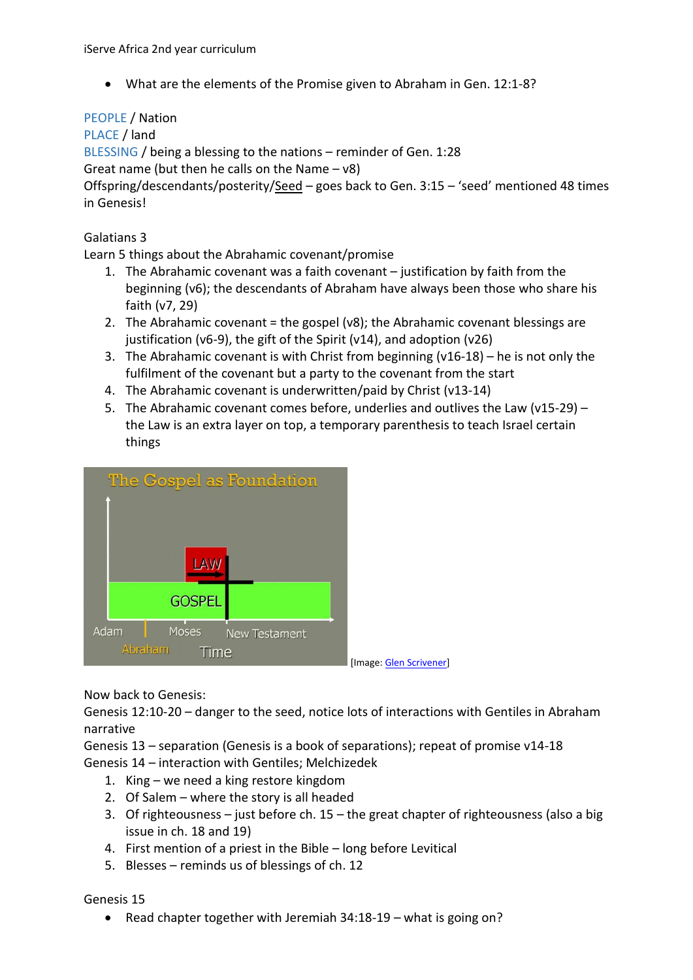What are the elements of the Promise given to Abraham in Gen. 12:1-8?

#### PEOPLE / Nation

PLACE / land

BLESSING / being a blessing to the nations – reminder of Gen. 1:28

Great name (but then he calls on the Name – v8)

Offspring/descendants/posterity/Seed - goes back to Gen. 3:15 - 'seed' mentioned 48 times in Genesis!

#### Galatians 3

Learn 5 things about the Abrahamic covenant/promise

- 1. The Abrahamic covenant was a faith covenant justification by faith from the beginning (v6); the descendants of Abraham have always been those who share his faith (v7, 29)
- 2. The Abrahamic covenant = the gospel (v8); the Abrahamic covenant blessings are justification (v6-9), the gift of the Spirit (v14), and adoption (v26)
- 3. The Abrahamic covenant is with Christ from beginning (v16-18) he is not only the fulfilment of the covenant but a party to the covenant from the start
- 4. The Abrahamic covenant is underwritten/paid by Christ (v13-14)
- 5. The Abrahamic covenant comes before, underlies and outlives the Law (v15-29) the Law is an extra layer on top, a temporary parenthesis to teach Israel certain things



Now back to Genesis:

Genesis 12:10-20 – danger to the seed, notice lots of interactions with Gentiles in Abraham narrative

Genesis 13 – separation (Genesis is a book of separations); repeat of promise v14-18 Genesis 14 – interaction with Gentiles; Melchizedek

- 1. King we need a king restore kingdom
- 2. Of Salem where the story is all headed
- 3. Of righteousness just before ch. 15 the great chapter of righteousness (also a big issue in ch. 18 and 19)
- 4. First mention of a priest in the Bible long before Levitical
- 5. Blesses reminds us of blessings of ch. 12

Genesis 15

• Read chapter together with Jeremiah  $34:18-19$  – what is going on?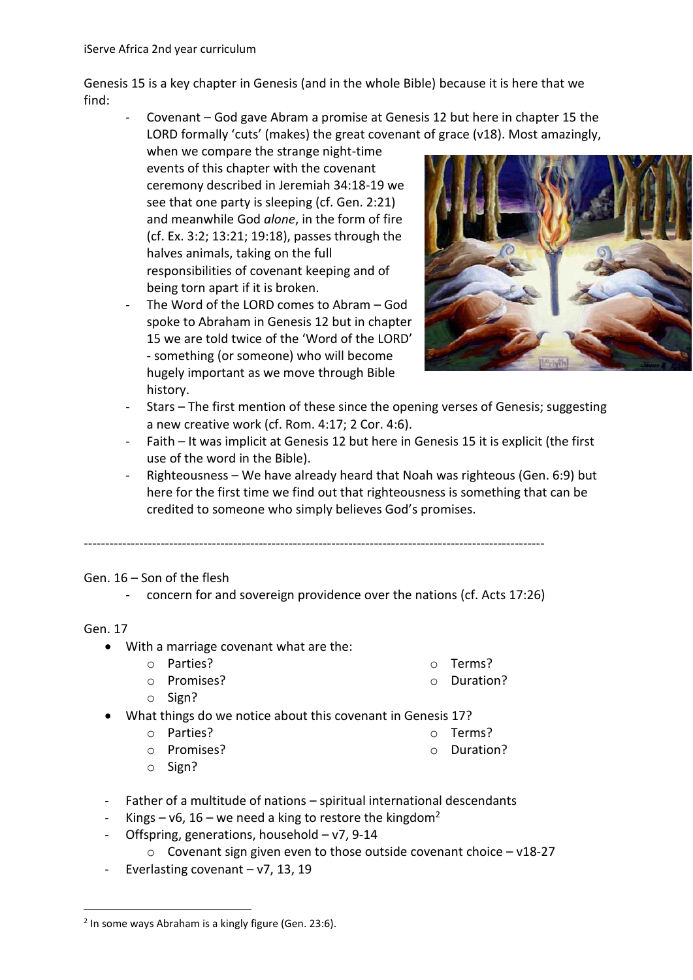Genesis 15 is a key chapter in Genesis (and in the whole Bible) because it is here that we find:

- Covenant – God gave Abram a promise at Genesis 12 but here in chapter 15 the LORD formally 'cuts' (makes) the great covenant of grace (v18). Most amazingly,

when we compare the strange night-time events of this chapter with the covenant ceremony described in Jeremiah 34:18-19 we see that one party is sleeping (cf. Gen. 2:21) and meanwhile God *alone*, in the form of fire (cf. Ex. 3:2; 13:21; 19:18), passes through the halves animals, taking on the full responsibilities of covenant keeping and of being torn apart if it is broken.

The Word of the LORD comes to Abram - God spoke to Abraham in Genesis 12 but in chapter 15 we are told twice of the 'Word of the LORD' - something (or someone) who will become hugely important as we move through Bible history.



- Stars The first mention of these since the opening verses of Genesis; suggesting a new creative work (cf. Rom. 4:17; 2 Cor. 4:6).
- Faith It was implicit at Genesis 12 but here in Genesis 15 it is explicit (the first use of the word in the Bible).
- Righteousness We have already heard that Noah was righteous (Gen. 6:9) but here for the first time we find out that righteousness is something that can be credited to someone who simply believes God's promises.

------------------------------------------------------------------------------------------------------------

Gen. 16 – Son of the flesh

- concern for and sovereign providence over the nations (cf. Acts 17:26)

Gen. 17

 $\overline{a}$ 

- With a marriage covenant what are the:
	- o Parties?

o Promises?

o Terms?

o Terms? o Duration?

o Duration?

- o Sign?
- What things do we notice about this covenant in Genesis 17?
	- o Parties?
	- o Promises?
- 

- o Sign?
- Father of a multitude of nations spiritual international descendants
- Kings v6, 16 we need a king to restore the kingdom<sup>2</sup>
- Offspring, generations, household  $v7$ , 9-14
	- $\circ$  Covenant sign given even to those outside covenant choice v18-27
- Everlasting covenant  $v7$ , 13, 19

<sup>&</sup>lt;sup>2</sup> In some ways Abraham is a kingly figure (Gen. 23:6).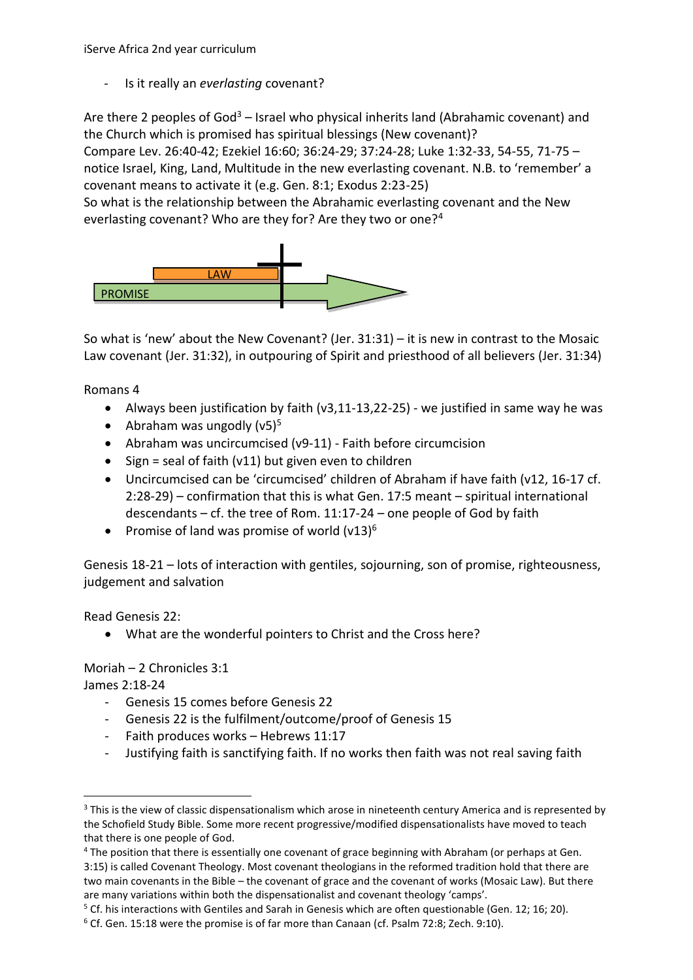- Is it really an *everlasting* covenant?

Are there 2 peoples of  $God^3$  – Israel who physical inherits land (Abrahamic covenant) and the Church which is promised has spiritual blessings (New covenant)?

Compare Lev. 26:40-42; Ezekiel 16:60; 36:24-29; 37:24-28; Luke 1:32-33, 54-55, 71-75 – notice Israel, King, Land, Multitude in the new everlasting covenant. N.B. to 'remember' a covenant means to activate it (e.g. Gen. 8:1; Exodus 2:23-25)

So what is the relationship between the Abrahamic everlasting covenant and the New everlasting covenant? Who are they for? Are they two or one?<sup>4</sup>



So what is 'new' about the New Covenant? (Jer. 31:31) – it is new in contrast to the Mosaic Law covenant (Jer. 31:32), in outpouring of Spirit and priesthood of all believers (Jer. 31:34)

Romans 4

- Always been justification by faith (v3,11-13,22-25) we justified in same way he was
- Abraham was ungodly  $(v5)^5$
- Abraham was uncircumcised (v9-11) Faith before circumcision
- $\bullet$  Sign = seal of faith (v11) but given even to children
- Uncircumcised can be 'circumcised' children of Abraham if have faith (v12, 16-17 cf. 2:28-29) – confirmation that this is what Gen. 17:5 meant – spiritual international descendants – cf. the tree of Rom. 11:17-24 – one people of God by faith
- Promise of land was promise of world  $(v13)^6$

Genesis 18-21 – lots of interaction with gentiles, sojourning, son of promise, righteousness, judgement and salvation

Read Genesis 22:

What are the wonderful pointers to Christ and the Cross here?

Moriah – 2 Chronicles 3:1

James 2:18-24

**.** 

- Genesis 15 comes before Genesis 22
- Genesis 22 is the fulfilment/outcome/proof of Genesis 15
- Faith produces works Hebrews 11:17
- Justifying faith is sanctifying faith. If no works then faith was not real saving faith

<sup>&</sup>lt;sup>3</sup> This is the view of classic dispensationalism which arose in nineteenth century America and is represented by the Schofield Study Bible. Some more recent progressive/modified dispensationalists have moved to teach that there is one people of God.

<sup>&</sup>lt;sup>4</sup> The position that there is essentially one covenant of grace beginning with Abraham (or perhaps at Gen. 3:15) is called Covenant Theology. Most covenant theologians in the reformed tradition hold that there are two main covenants in the Bible – the covenant of grace and the covenant of works (Mosaic Law). But there are many variations within both the dispensationalist and covenant theology 'camps'.

<sup>&</sup>lt;sup>5</sup> Cf. his interactions with Gentiles and Sarah in Genesis which are often questionable (Gen. 12; 16; 20).

<sup>&</sup>lt;sup>6</sup> Cf. Gen. 15:18 were the promise is of far more than Canaan (cf. Psalm 72:8; Zech. 9:10).